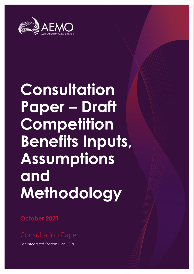

# **Consultation Paper – Draft Competition Benefits Inputs, Assumptions and Methodology**

**October 2021**

For Integrated System Plan (ISP)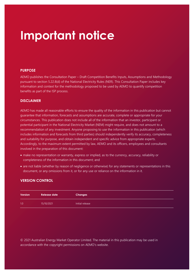## **Important notice**

#### **PURPOSE**

AEMO publishes the Consultation Paper – Draft Competition Benefits Inputs, Assumptions and Methodology pursuant to section 5.22.8(d) of the National Electricity Rules (NER). This Consultation Paper includes key information and context for the methodology proposed to be used by AEMO to quantify competition benefits as part of the ISP process.

#### **DISCLAIMER**

AEMO has made all reasonable efforts to ensure the quality of the information in this publication but cannot guarantee that information, forecasts and assumptions are accurate, complete or appropriate for your circumstances. This publication does not include all of the information that an investor, participant or potential participant in the National Electricity Market (NEM) might require, and does not amount to a recommendation of any investment. Anyone proposing to use the information in this publication (which includes information and forecasts from third parties) should independently verify its accuracy, completeness and suitability for purpose, and obtain independent and specific advice from appropriate experts. Accordingly, to the maximum extent permitted by law, AEMO and its officers, employees and consultants involved in the preparation of this document:

- make no representation or warranty, express or implied, as to the currency, accuracy, reliability or completeness of the information in this document; and
- are not liable (whether by reason of negligence or otherwise) for any statements or representations in this document, or any omissions from it, or for any use or reliance on the information in it.

#### **VERSION CONTROL**

| Version | <b>Release date</b> | <b>Changes</b>  |
|---------|---------------------|-----------------|
| 1.0     | 15/10/2021          | Initial release |

© 2021 Australian Energy Market Operator Limited. The material in this publication may be used in accordance with the [copyright permissions on AEMO's website](http://aemo.com.au/Privacy_and_Legal_Notices/Copyright_Permissions_Notice).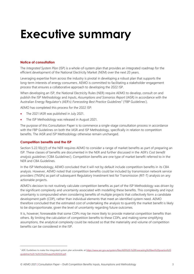## <span id="page-2-0"></span>**Executive summary**

#### **Notice of consultation**

The *Integrated System Plan* (ISP) is a whole-of-system plan that provides an integrated roadmap for the efficient development of the National Electricity Market (NEM) over the next 20 years.

Leveraging expertise from across the industry is pivotal in developing a robust plan that supports the long-term interests of energy consumers. AEMO is committed to facilitating a stakeholder engagement process that ensures a collaborative approach to developing the 2022 ISP.

When developing an ISP, the National Electricity Rules (NER) require AEMO to develop, consult on and publish the ISP Methodology and *Inputs, Assumptions and Scenarios Report* (IASR) in accordance with the Australian Energy Regulator's (AER's) *Forecasting Best Practice Guidelines*<sup>1</sup> ('FBP Guidelines').

AEMO has completed this process for the 2022 ISP:

- The 2021 IASR was published in July 2021.
- The ISP Methodology was released in August 2021.

The purpose of this Consultation Paper is to commence a single-stage consultation process in accordance with the FBP Guidelines on both the IASR and ISP Methodology, specifically in relation to competition benefits. The IASR and ISP Methodology otherwise remain unchanged.

#### **Competition benefits and the ISP**

Section 5.22.10(c)(1) of the NER requires AEMO to consider a range of market benefits as part of preparing an ISP. These classes of benefits are documented in the NER and further discussed in the AER's *Cost benefit analysis guidelines* ('CBA Guidelines'). Competition benefits are one type of market benefit referred to in the NER and CBA Guidelines.

In the ISP Methodology, AEMO concluded that it will not by default include competition benefits in its CBA analysis. However, AEMO noted that competition benefits could be included by transmission network service providers (TNSPs) as part of subsequent Regulatory Investment test for Transmission (RIT-T) analysis on any actionable projects.

AEMO's decision to not routinely calculate competition benefits as part of the ISP Methodology was driven by the significant complexity and uncertainty associated with modelling these benefits. This complexity and input uncertainty is compounded when considering benefits of multiple projects that collectively form a candidate development path (CDP), rather than individual elements that meet an identified system need. AEMO therefore concluded that the estimated cost of undertaking the analysis to quantify the market benefit is likely to be disproportionate, given the level of uncertainty regarding future outcomes.

It is, however, foreseeable that some CDPs may be more likely to provide material competition benefits than others. By limiting the calculation of competition benefits to these CDPs, and making some simplifying assumptions, the analytical complexity could be reduced so that the materiality and volume of competition benefits can be considered in the ISP.

<sup>1</sup> AER. Guidelines to make the integrated system plan actionable, a[t https://www.aer.gov.au/system/files/AER%20-%20Forecasting%20best%20practice%20](https://www.aer.gov.au/system/files/AER%20-%20Forecasting%20best%20practice%20guidelines%20-%2025%20August%202020.pdf) [guidelines%20-%2025%20August%202020.pdf.](https://www.aer.gov.au/system/files/AER%20-%20Forecasting%20best%20practice%20guidelines%20-%2025%20August%202020.pdf)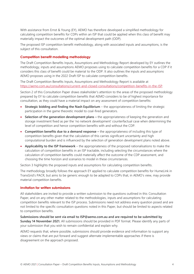With assistance from Ernst & Young (EY), AEMO has therefore developed a simplified methodology for calculating competition benefits for CDPs within an ISP that could be applied when this class of benefit may materially impact the outcomes of the optimal development path (ODP).

The proposed ISP competition benefit methodology, along with associated inputs and assumptions, is the subject of this consultation.

#### **Competition benefit modelling methodology**

The Draft Competition Benefits Inputs, Assumptions and Methodology Report developed by EY outlines the methodology, inputs and assumptions AEMO proposes using to calculate competition benefits for a CDP if it considers this class of benefit could be material to the ODP. It also outlines the inputs and assumptions AEMO proposes using in the 2022 Draft ISP to calculate competition benefits.

The Draft Competition Benefits Inputs, Assumptions and Methodology Report is available at [https://aemo.com.au/consultations/current-and-closed-consultations/competition-benefits-in-the-ISP.](https://aemo.com.au/consultations/current-and-closed-consultations/competition-benefits-in-the-ISP)

Section 2 of this Consultation Paper draws stakeholder's attention to the areas of the proposed methodology prepared by EY to calculate competition benefits that AEMO considers to be of highest importance for consultation, as they could have a material impact on any assessment of competition benefits:

- **Strategic bidding and finding the Nash Equilibrium** the appropriateness of limiting the strategic participation in the game theoretic model to coal-fired generators.
- **Selection of the generation development plans –** the appropriateness of keeping the generation and storage investment fixed as per the 'no network development' counterfactual case when determining the level of competition and hence competition benefits with and without the CDP.
- **Competition benefits due to a demand response –** the appropriateness of including this type of competition benefits given that the calculation of this carries significant uncertainty and high computational burden and is influenced by the selection of generation development plans noted above.
- **Applicability to the ISP framework** the appropriateness of the proposed rationalisations to make the calculation of competition benefits in an ISP tractable, including selecting the circumstances where the calculation of competition benefits could materially affect the outcome of the CDP assessment, and choosing the time horizon and scenarios to model in these circumstances.

Section 3 highlights the proposed inputs and assumptions for calculating competition benefits.

The methodology broadly follows the approach EY applied to calculate competition benefits for HumeLink in TransGrid's PACR, but aims to be generic enough to be adapted to CDPs that, in AEMO's view, may provide material competition benefits.

#### **Invitation for written submissions**

All stakeholders are invited to provide a written submission to the questions outlined in this Consultation Paper, and on any other matter related to the methodologies, inputs and assumptions for calculating competition benefits relevant to the ISP process. Submissions need not address every question posed and are not limited to the specific consultation questions noted in this Paper, but should be limited to aspects related to competition benefits.

**Submissions should be sent via email to ISP@aemo.com.au and are required to be submitted by Sunday 14 November 2021.** All submissions should be provided in PDF format. Please identify any parts of your submission that you wish to remain confidential and explain why.

AEMO requests that, where possible, submissions should provide evidence and information to support any views or claims that are put forward and suggest alternate implementable approaches if there is disagreement on the approach proposed.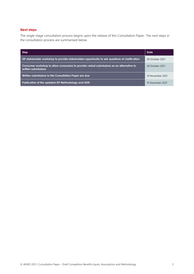#### **Next steps**

The single-stage consultation process begins upon the release of this Consultation Paper. The next steps in the consultation process are summarised below.

| <b>Step</b>                                                                                                    | Date             |
|----------------------------------------------------------------------------------------------------------------|------------------|
| ISP stakeholder workshop to provide stakeholders opportunity to ask questions of clarification                 | 26 October 2021  |
| Consumer workshop to allow consumers to provide verbal submissions as an alternative to<br>written submissions | 28 October 2021  |
| Written submissions to this Consultation Paper are due                                                         | 14 November 2021 |
| Publication of the updated ISP Methodology and IASR                                                            | 10 December 2021 |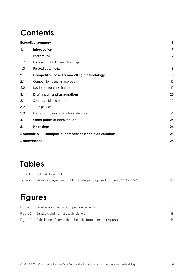## **Contents**

| <b>Executive summary</b>                                   |                |
|------------------------------------------------------------|----------------|
| Introduction                                               | 7              |
| Background                                                 | $\overline{7}$ |
| Purpose of this Consultation Paper                         | 8              |
| Related documents                                          | 8              |
| <b>Competition benefits modelling methodology</b>          | 10             |
| Competition benefits approach                              | 10             |
| Key issues for consultation                                | 12             |
| Draft inputs and assumptions                               | 20             |
| Strategic bidding selection                                | 20             |
| Time periods                                               | 21             |
| Elasticity of demand to wholesale price                    | 21             |
| Other points of consultation                               | 23             |
| <b>Next steps</b>                                          | 24             |
| Appendix A1 - Examples of competition benefit calculations | 25             |
| 28<br><b>Abbreviations</b>                                 |                |
|                                                            |                |

### **Tables**

| Table 1 | Related documents                                                        |  |
|---------|--------------------------------------------------------------------------|--|
| Table 2 | Strategic players and bidding strategies proposed for the 2022 Draft ISP |  |

### **Figures**

| Figure 1 Frontier approach to competition benefits                |    |
|-------------------------------------------------------------------|----|
| Figure 2 Strategic and non-strategic players                      |    |
| Figure 3 Calculation of competition benefits from demand response | 16 |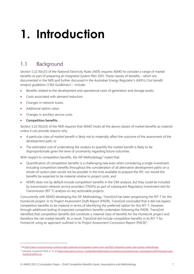# <span id="page-6-0"></span>**1. Introduction**

### <span id="page-6-1"></span>1.1 Background

Section 5.22.10(c)(1) of the National Electricity Rules (NER) requires AEMO to consider a range of market benefits as part of preparing an *Integrated System Plan* (ISP). These classes of benefits – which are documented in the NER and further discussed in the Australian Energy Regulator's (AER's) *Cost benefit analysis guidelines* ('CBA Guidelines') – include:

- Benefits related to the development and operational costs of generation and storage assets.
- Costs associated with demand reduction.
- Changes in network losses.
- Additional option value.
- Changes in ancillary service costs.
- **Competition benefits.**

Section 5.22.10(c)(3) of the NER requires that AEMO treats all the above classes of market benefits as material unless it can provide reasons why:

- A particular class of market benefit is likely not to materially affect the outcome of the assessment of the development path; or
- The estimated cost of undertaking the analysis to quantify the market benefit is likely to be disproportionate given the level of uncertainty regarding future outcomes.

With respect to competition benefits, the ISP Methodology<sup>2</sup> noted that:

- Quantification of competition benefits is a challenging task even when considering a single investment. Including competition benefits throughout the consideration of all alternative development paths on a whole-of-system plan would not be possible in the time available to prepare the ISP, nor would the benefits be expected to be material relative to project costs; and
- AEMO does not by default include competition benefits in the CBA analysis, but they could be included by transmission network service providers (TNSPs) as part of subsequent Regulatory Investment test for Transmission (RIT-T) analysis on any actionable projects.

Concurrently with AEMO developing the ISP Methodology, TransGrid has been progressing the RIT-T for the HumeLink project. In its Project Assessment Draft Report (PADR), TransGrid concluded that it did not expect competition benefits to be material in terms of identifying the preferred option for this RIT-T. However, through additional testing of expected competition benefits undertaken following the PADR, TransGrid identified that competition benefits did constitute a material class of benefits for the HumeLink project and therefore the net market benefit. As a result, TransGrid did include competition benefits in its RIT-T for HumeLink using an approach outlined in its Project Assessment Conclusion Report (PACR)<sup>3</sup>.

<sup>2</sup> A[t https://aemo.com.au/energy-systems/major-publications/integrated-system-plan-isp/2022-integrated-system-plan-isp/isp-methodology.](https://aemo.com.au/energy-systems/major-publications/integrated-system-plan-isp/2022-integrated-system-plan-isp/isp-methodology)

<sup>&</sup>lt;sup>3</sup> TransGrid, HumeLink PACR, p. 15, at [https://www.aemo.com.au/-/media/files/stakeholderconsultation/consultations/nsp\\_consultations/2021/transgrid-pacr](https://www.aemo.com.au/-/media/files/stakeholder_consultation/consultations/nsp_consultations/2021/transgrid-pacr-humelink.pdf?la=en)[humelink.pdf?la=en.](https://www.aemo.com.au/-/media/files/stakeholder_consultation/consultations/nsp_consultations/2021/transgrid-pacr-humelink.pdf?la=en)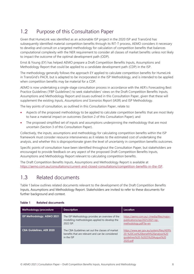### <span id="page-7-0"></span>1.2 Purpose of this Consultation Paper

Given that HumeLink was identified as an actionable ISP project in the 2020 ISP and TransGrid has subsequently identified material competition benefits through its RIT-T process, AEMO considers it necessary to develop and consult on a targeted methodology for calculation of competition benefits that balances computational complexity with the NER requirement to consider all classes of market benefits unless not likely to impact the outcome of the optimal development path (ODP).

Ernst & Young (EY) has helped AEMO prepare a Draft Competition Benefits Inputs, Assumptions and Methodology Report that could be applied to a candidate development path (CDP) in the ISP.

The methodology generally follows the approach EY applied to calculate competition benefits for HumeLink in TransGrid's PACR, but is adapted to be incorporated in the ISP Methodology, and is intended to be applied when competition benefits may be material for a CDP.

AEMO is now undertaking a single-stage consultation process in accordance with the AER's Forecasting Best Practice Guidelines ('FBP Guidelines') to seek stakeholders' views on the Draft Competition Benefits Inputs, Assumptions and Methodology Report and issues outlined in this Consultation Paper, given that these will supplement the existing *Inputs, Assumptions and Scenarios Report* (IASR) and ISP Methodology.

The key points of consultation, as outlined in this Consultation Paper, relate to:

- Aspects of the proposed methodology to be applied to calculate competition benefits that are most likely to have a material impact on outcomes (Section 2 of this Consultation Paper); and
- The proposed simplified set of inputs and assumptions underpinning the methodology that are most uncertain (Section 3 of this Consultation Paper).

Collectively, the inputs, assumptions and methodology for calculating competition benefits within the ISP framework must consider resource intensiveness as it relates to the estimated cost of undertaking the analysis, and whether this is disproportionate given the level of uncertainty in competition benefits outcomes.

Specific points of consultation have been identified throughout the Consultation Paper, but stakeholders are encouraged to provide feedback on any aspect of the proposed Draft Competition Benefits Inputs, Assumptions and Methodology Report relevant to calculating competition benefits.

The Draft Competition Benefits Inputs, Assumptions and Methodology Report is available at [https://aemo.com.au/consultations/current-and-closed-consultations/competition-benefits-in-the-ISP.](https://aemo.com.au/consultations/current-and-closed-consultations/competition-benefits-in-the-ISP)

### <span id="page-7-1"></span>1.3 Related documents

Table 1 below outlines related documents relevant to the development of the Draft Competition Benefits Inputs, Assumptions and Methodology Report. Stakeholders are invited to refer to these documents for further background and context.

| Methodology/procedure           | <b>Description</b>                                                                                                 | Location                                                                                                                      |
|---------------------------------|--------------------------------------------------------------------------------------------------------------------|-------------------------------------------------------------------------------------------------------------------------------|
| ISP Methodology, AEMO 2021      | The ISP Methodology provides an overview of the<br>modelling methodologies applied to develop the<br>2022 ISP.     | https://aemo.com.au/-/media/files/major-<br>publications/isp/2021/2021-isp-<br>methodology.pdf?la=en                          |
| <b>CBA Guidelines, AER 2020</b> | The CBA Guidelines set out the classes of market<br>benefits that are relevant and can be considered<br>in the ISP | https://www.aer.gov.au/system/files/AER%<br>20-%20Cost%20benefit%20analysis%20<br>quidelines%20-%2025%20August%20<br>2020.pdf |

#### <span id="page-7-2"></span>**Table 1 Related documents**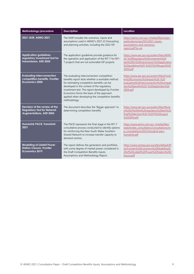| Methodology/procedure                                                                                 | <b>Description</b>                                                                                                                                                                                                                                                                                                                                              | <b>Location</b>                                                                                                                                                           |
|-------------------------------------------------------------------------------------------------------|-----------------------------------------------------------------------------------------------------------------------------------------------------------------------------------------------------------------------------------------------------------------------------------------------------------------------------------------------------------------|---------------------------------------------------------------------------------------------------------------------------------------------------------------------------|
| 2021 IASR, AEMO 2021                                                                                  | The IASR includes the scenarios, inputs and<br>assumptions used in AEMO's 2021-22 forecasting<br>and planning activities, including the 2022 ISP.                                                                                                                                                                                                               | https://aemo.com.au/-/media/files/major-<br>publications/isp/2021/2021-inputs-<br>assumptions-and-scenarios-<br>report.pdf?la=en                                          |
| <b>Application guidelines,</b><br>regulatory investment test for<br>transmission, AER 2020            | The application guidelines provide guidance for<br>the operation and application of the RIT-T for RIT-<br>T projects that are not actionable ISP projects.                                                                                                                                                                                                      | https://www.aer.gov.au/system/files/AER%<br>20-%20Regulatory%20investment%20<br>test%20for%20transmission%20application<br>%20quidelines%20-%2025%20August%20<br>2020.pdf |
| <b>Evaluating interconnection</b><br>competition benefits, Frontier<br><b>Economics 2004</b>          | The evaluating interconnection competition<br>benefits report tests whether a workable method<br>for estimating competition benefits can be<br>developed in the context of the regulatory<br>investment test. The report developed by Frontier<br>Economics forms the basis of the approach<br>applied when developing the competition benefits<br>methodology. | https://www.aer.gov.au/system/files/Fronti<br>er%20Economics%20report%20-%20<br>evaluating%20interconnection%20competi<br>tion%20benefits%20-%20September%20<br>2004.pdf  |
| Decision of the review of the<br><b>Regulatory Test for Network</b><br><b>Augmentations, AER 2004</b> | The document describes the 'Biggar approach' to<br>determining competition benefits                                                                                                                                                                                                                                                                             | https://www.aer.gov.au/system/files/Revie<br>w%20of%20the%20regulatory%20test%20<br>final%20decision%20-%2011%20August<br>%202004.pdf                                     |
| <b>HumeLink PACR, TransGrid</b><br>2021                                                               | The PACR represents the final stage in the RIT-T<br>consultative process conducted to identify options<br>for reinforcing the New South Wales Southern<br>Shared Network to increase transfer capacity to<br>demand centres.                                                                                                                                    | https://www.aemo.com.au/-/media/files/<br>stakeholder_consultation/consultations/ns<br>p consultations/2021/transgrid-pacr-<br>humelink.pdf                               |
| <b>Modelling of Liddell Power</b><br><b>Station Closure, Frontier</b><br><b>Economics 2019</b>        | The report defines the generators and portfolios<br>with some degree of market power considered in<br>the Draft Competition Benefits Inputs,<br>Assumptions and Methodology Report.                                                                                                                                                                             | https://www.energy.gov.au/sites/default/fil<br>es/Frontier%20Economics%20Modelling%<br>20of%20Liddell%20Power%20Station%20C<br>losure.pdf                                 |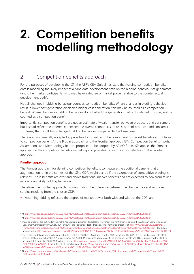## <span id="page-9-0"></span>**2. Competition benefits modelling methodology**

### <span id="page-9-1"></span>2.1 Competition benefits approach

For the purposes of developing the ISP, the AER's CBA Guidelines state that valuing competition benefits entails modelling the likely impact of a candidate development path on the bidding behaviour of generators (and other market participants) who may have a degree of market power relative to the counterfactual development path<sup>4</sup>.

Not all changes in bidding behaviour count as competition benefits. Where changes in bidding behaviour result in lower cost generation displacing higher cost generation, this may be counted as a competition benefit. Where changes in bidding behaviour do not affect the generation that is dispatched, this may not be counted as a competition benefit<sup>5</sup>.

Importantly, competition benefits are not an estimate of wealth transfer between producers and consumers but instead reflect the difference between the overall economic surpluses (sum of producer and consumer surpluses) that result from changed bidding behaviour compared to the base case.

There are two generally accepted approaches for quantifying the component of market benefits attributable to competition benefits<sup>6</sup>,7 the Biggar approach and the Frontier approach. EY's Competition Benefits Inputs, Assumptions and Methodology Report, proposed to be adopted by AEMO for its ISP, applies the Frontier approach in the competition benefits modelling and provides its reasoning for selection of the Frontier approach.

#### **Frontier approach**

The Frontier approach for defining competition benefits is to measure the additional benefits that an augmentation, or in the context of the ISP a CDP, might accrue if the assumption of competitive bidding is relaxed<sup>8</sup>. These benefits are over and above traditional market benefits and are expected to flow from taking into account likely bidding behaviour.

Therefore, the Frontier approach involves finding the difference between the change in overall economic surplus resulting from the chosen CDP:

• Assuming bidding reflected the degree of market power both with and without the CDP; and

<sup>4</sup> A[t https://www.aer.gov.au/system/files/AER%20-%20Cost%20benefit%20analysis%20guidelines%20-%2025%20August%202020.pdf.](https://www.aer.gov.au/system/files/AER%20-%20Cost%20benefit%20analysis%20guidelines%20-%2025%20August%202020.pdf)

<sup>5</sup> A[t https://www.aer.gov.au/system/files/AER%20-%20Cost%20benefit%20analysis%20guidelines%20-%2025%20August%202020.pdf.](https://www.aer.gov.au/system/files/AER%20-%20Cost%20benefit%20analysis%20guidelines%20-%2025%20August%202020.pdf)

<sup>&</sup>lt;sup>6</sup> These approaches are outlined in the AER's Application guidelines - Regulatory investment test for transmission and the Australian Competition and Consumer Commission's (ACCC's) 2004 Review of the Regulatory Test – Decision. The Frontier approach is at [https://www.aer.gov.au/system/files/](https://www.aer.gov.au/system/files/Frontier%20Economics%20report%20-%20evaluating%20interconnection%20competition%20benefits%20-%20September%202004.pdf) [Frontier%20Economics%20report%20-%20evaluating%20interconnection%20competition%20benefits%20-%20September%202004.pdf](https://www.aer.gov.au/system/files/Frontier%20Economics%20report%20-%20evaluating%20interconnection%20competition%20benefits%20-%20September%202004.pdf) . The Biggar approach is at [https://www.aer.gov.au/system/files/Review%20of%20the%20regulatory%20test%20final%20decision%20-%2011%20August%202004.pdf.](https://www.aer.gov.au/system/files/Review%20of%20the%20regulatory%20test%20final%20decision%20-%2011%20August%202004.pdf)

<sup>7</sup> The Frontier and Biggar approaches are set out in both the 2020 RIT-T Guidelines and the CBA Guidelines. The 2020 RIT-T Guidelines apply to RIT-T projects that are not actionable ISP projects, while the 2020 CBA Guidelines apply to AEMO in preparing the ISP, and TNSPs in applying the RIT-T to actionable ISP projects. 2020 CBA Guidelines are a[t https://www.aer.gov.au/system/files/AER%20-%20Cost%20benefit%20analysis%20guidelines%20-](https://www.aer.gov.au/system/files/AER%20-%20Cost%20benefit%20analysis%20guidelines%20-%2025%20August%202020.pdf) [%2025%20August%202020.pdf.](https://www.aer.gov.au/system/files/AER%20-%20Cost%20benefit%20analysis%20guidelines%20-%2025%20August%202020.pdf) 2020 RIT-T Guidelines are a[t https://www.aer.gov.au/system/files/AER%20-%20Regulatory%20investment%20test%20](https://www.aer.gov.au/system/files/AER%20-%20Regulatory%20investment%20test%20for%20transmission%20application%20guidelines%20-%2025%20August%202020.pdf) [for%20transmission%20application%20guidelines%20-%2025%20August%202020.pdf.](https://www.aer.gov.au/system/files/AER%20-%20Regulatory%20investment%20test%20for%20transmission%20application%20guidelines%20-%2025%20August%202020.pdf)

<sup>8</sup> A[t https://www.aer.gov.au/system/files/Frontier%20Economics%20report%20-%20evaluating%20interconnection%20competition%20benefits%20-](https://www.aer.gov.au/system/files/Frontier%20Economics%20report%20-%20evaluating%20interconnection%20competition%20benefits%20-%20September%202004.pdf) [%20September%202004.pdf.](https://www.aer.gov.au/system/files/Frontier%20Economics%20report%20-%20evaluating%20interconnection%20competition%20benefits%20-%20September%202004.pdf)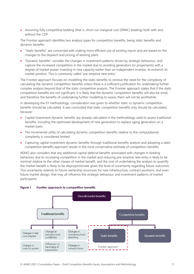• Assuming fully competitive bidding (that is, short-run marginal cost (SRMC) bidding) both with and without the CDP.

The Frontier approach identifies two analysis types for competition benefits, being static benefits and dynamic benefits:

- "Static benefits" are concerned with making more efficient use of existing inputs and are based on the changes to the dispatch and pricing of existing plant.
- "Dynamic benefits" consider the changes in investment patterns driven by strategic behaviour, and capture the increased competition in the market due to avoiding generators (or proponents) with a degree of market power investing in new capacity earlier than an independent investor, to entrench its market position. This is commonly called 'pre-emptive new entry'.

The Frontier approach focuses on modelling the static benefits to remove the need for the complexity of calculating the dynamic competition benefits unless there is a sufficient justification for undertaking further complex analysis beyond that of the static competitive analysis. The Frontier approach states that if the static competition benefits are not significant, it is likely that the dynamic competition benefits will also be small, and therefore the benefits of undertaking further modelling to assess them will not be worthwhile.

In developing the EY methodology, consideration was given to whether static or dynamic competition benefits should be calculated. It was concluded that static competition benefits only should be calculated, because:

- Capital investment dynamic benefits are already calculated in the methodology used to assess traditional benefits, including the optimised development of new generation to replace aging generation on a market basis.
- The incremental utility of calculating dynamic competition benefits relative to the computational complexity is considered limited.
- Capturing capital investment dynamic benefits through traditional benefits analysis and adopting a static competition benefits approach results in the most conservative estimate of competition benefits.

AEMO also considers that any additional capital deferral benefits associated with changes in bidding behaviour due to increasing competition in the market and reducing pre-emptive new entry is likely to be minimal relative to the other classes of market benefit, and the cost of undertaking the analysis to quantify the market benefit is likely to be disproportionate given the level of uncertainty regarding future outcomes. This uncertainty extends to future ownership structures for new infrastructure, contract positions, and even future market design, that may all influence the strategic behaviour and investment patterns of market participants.



#### <span id="page-10-0"></span>**Figure 1 Frontier approach to competition benefits**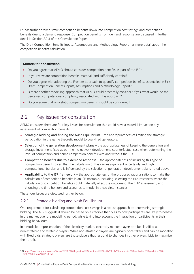EY has further broken static competition benefits down into competition cost savings and competition benefits due to a demand response. Competition benefits from demand response are discussed in further detail in Section [2.2.3](#page-14-0) of this Consultation Paper.

The Draft Competition Benefits Inputs, Assumptions and Methodology Report has more detail about the competition benefits calculation.

#### **Matters for consultation**

- Do you agree that AEMO should consider competition benefits as part of the ISP?
- In your view are competition benefits material (and sufficiently certain)?
- Do you agree with adopting the Frontier approach to quantify competition benefits, as detailed in EY's Draft Competition Benefits Inputs, Assumptions and Methodology Report?
- Is there another modelling approach that AEMO could practically consider? If yes, what would be the perceived computational complexity associated with this approach?
- Do you agree that only static competition benefits should be considered?

### <span id="page-11-0"></span>2.2 Key issues for consultation

AEMO considers there are four key issues for consultation that could have a material impact on any assessment of competition benefits:

- **Strategic bidding and finding the Nash Equilibrium** the appropriateness of limiting the strategic participation in the game theoretic model to coal-fired generators.
- **Selection of the generation development plans –** the appropriateness of keeping the generation and storage investment fixed as per the 'no network development' counterfactual case when determining the level of competition and hence competition benefits with and without the CDP.
- **Competition benefits due to a demand response –** the appropriateness of including this type of competition benefits given that the calculation of this carries significant uncertainty and high computational burden and is influenced by the selection of generation development plans noted above.
- **Applicability to the ISP framework**  the appropriateness of the proposed rationalisations to make the calculation of competition benefits in an ISP tractable, including selecting the circumstances where the calculation of competition benefits could materially affect the outcome of the CDP assessment, and choosing the time horizon and scenarios to model in these circumstances.

These four issues are discussed further below.

#### <span id="page-11-1"></span>2.2.1 Strategic bidding and Nash Equilibrium

One requirement for calculating competition cost savings is a robust approach to determining strategic bidding. The AER suggests it should be based on a credible theory as to how participants are likely to behave in the market over the modelling period, while taking into account the interaction of participants in their bidding behaviour<sup>9</sup>.

In a modelled representation of the electricity market, electricity market players can be classified as non-strategic and strategic players. While non-strategic players are typically price takers and can be modelled with fixed bids, strategic players are those players that respond to changes in other players' bids to maximise their profit.

<sup>9</sup> A[t https://www.aer.gov.au/system/files/AER%20-%20Regulatory%20investment%20test%20for%20transmission%20application%20guidelines%20-](https://www.aer.gov.au/system/files/AER%20-%20Regulatory%20investment%20test%20for%20transmission%20application%20guidelines%20-%2025%20August%202020.pdf) [%2025%20August%202020.pdf.](https://www.aer.gov.au/system/files/AER%20-%20Regulatory%20investment%20test%20for%20transmission%20application%20guidelines%20-%2025%20August%202020.pdf)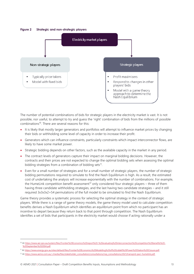<span id="page-12-0"></span>**Figure 2 Strategic and non-strategic players**



The number of potential combinations of bids for strategic players in the electricity market is vast. It is not possible, nor useful, to attempt to try and guess the 'right' combination of bids from the millions of possible combinations<sup>10</sup>. There are several reasons for this:

- It is likely that mostly larger generators and portfolios will attempt to influence market prices by changing their bids or withholding some level of capacity in order to increase their profit.
- Generators which can influence constraints, particularly constraints which impact interconnector flows, are likely to have some market power.
- Strategic bidding depends on other factors, such as the available capacity in the market in any period.
- The contract levels of generators capture their impact on marginal bidding decisions. However, the contracts and their prices are not expected to change the optimal bidding sets when assessing the optimal bidding strategies from a combination of bidding sets<sup>11</sup>.
- Even for a small number of strategies and for a small number of strategic players, the number of strategic bidding permutations required to simulate to find the Nash Equilibrium is high. As a result, the estimated cost of undertaking the analysis will increase exponentially with the number of combinations. For example, the HumeLink competition benefit assessment<sup>12</sup> only considered four strategic players – three of them having three candidate withholding strategies, and the last having two candidate strategies – and it still required 3x3x3x2=54 permutations of the full model to be simulated to find the Nash Equilibrium.

Game theory provides a systematic process for selecting the optimal strategy in the context of strategic players. While there is a range of game theory models, the game theory model used to calculate competition benefits derives a Nash Equilibrium which identifies an equilibrium point from which no participant has an incentive to depart because they return back to that point through competition. The Nash Equilibrium identifies a set of bids that participants in the electricity market would choose if acting rationally under a

<sup>10</sup> A[t https://www.aer.gov.au/system/files/Frontier%20Economics%20report%20-%20evaluating%20interconnection%20competition%20benefits%20-](https://www.aer.gov.au/system/files/Frontier%20Economics%20report%20-%20evaluating%20interconnection%20competition%20benefits%20-%20September%202004.pdf) [%20September%202004.pdf.](https://www.aer.gov.au/system/files/Frontier%20Economics%20report%20-%20evaluating%20interconnection%20competition%20benefits%20-%20September%202004.pdf)

<sup>11</sup> A[t https://www.energy.gov.au/sites/default/files/Frontier%20Economics%20Modelling%20of%20Liddell%20Power%20Station%20Closure.pdf.](https://www.energy.gov.au/sites/default/files/Frontier%20Economics%20Modelling%20of%20Liddell%20Power%20Station%20Closure.pdf)

<sup>&</sup>lt;sup>12</sup> At [https://www.aemo.com.au/-/media/files/stakeholder\\_consultation/consultations/nsp\\_consultations/2021/transgrid-pacr-humelink.pdf.](https://www.aemo.com.au/-/media/files/stakeholder_consultation/consultations/nsp_consultations/2021/transgrid-pacr-humelink.pdf)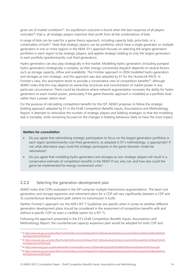given set of market conditions<sup>13</sup>. An equilibrium outcome is found when the best response of all players coincides<sup>14</sup>; that is, all strategic players maximise their profit from all the combinations of bids.

A range of bids can be used for a game theory approach, including capacity bids, price bids, or a combination of both<sup>15</sup>. Note that strategic players can be portfolios, which have a single generator or multiple generators in one or more regions in the NEM. EY's approach focuses on selecting the largest generation portfolios in each region to be strategic players, and applies strategic bidding to only the largest generators in each portfolio (predominantly coal-fired generators).

Hydro generators can also play strategically in the market. Modelling hydro generators (including pumped hydro generators) strategically is complex, as their energy-constrained dispatch depends on several factors such as storage capacity, inflow and availability. The Frontier approach in 2004 modelled hydro generators and storages as non-strategic, and this approach was also adopted by EY for the HumeLink PACR. In Frontier's view, this assumption tends to provide a conservative view of competition benefits<sup>16</sup>, although AEMO notes that this may depend on ownership structures and concentration of market power in any particular circumstance. There could be situations where network augmentation increases the ability for hydro generators to exert market power, particularly if the game theoretic approach is modelled at a portfolio level rather than a power station level.

For the purpose of calculating competition benefits for the ISP, AEMO proposes to follow the strategic bidding approach adopted by EY in the Draft Competition Benefits Inputs, Assumptions and Methodology Report. It attempts to rationalise the number of strategic players and bidding strategies so that the modelling task is tractable, while remaining focused on the changes in bidding behaviour likely to have the most impact.

#### **Matters for consultation**

- Do you agree that rationalising strategic participation to focus on the largest generation portfolios in each region (predominantly coal-fired generators), as adopted in EY's methodology, is appropriate? If not, what alternative ways could the strategic participants in the game theoretic model be rationalised?
- Do you agree that modelling hydro generators and storages as non-strategic players will result in a conservative estimate of competition benefits in the NEM? If not, why not, and how else could the game be implemented for energy-constrained units?

#### <span id="page-13-0"></span>2.2.2 Selecting the generation development plan

AEMO notes that CDPs evaluated in the ISP comprise multiple transmission augmentations. The least-cost generation and storage expansion and retirement plans for a CDP will vary significantly between a CDP and its counterfactual development path (where no transmission is built).

Neither Frontier's approach nor the AER's RIT-T Guidelines are specific when it comes to whether different generation development plans should be considered in the assessment of competition benefits with and without a specific CDP (or even a credible option for a RIT-T).

Following the approach presented in the EY's Draft Competition Benefits Inputs, Assumptions and Methodology Report, the counterfactual capacity expansion plan would be adopted for both CDP and

<sup>13</sup> A[t https://www.aer.gov.au/system/files/Frontier%20Economics%20report%20-%20evaluating%20interconnection%20competition%20benefits%20-](https://www.aer.gov.au/system/files/Frontier%20Economics%20report%20-%20evaluating%20interconnection%20competition%20benefits%20-%20September%202004.pdf) %20September%202004.pdf

<sup>14</sup> A[t https://www.aer.gov.au/system/files/Frontier%20Economics%20report%20-%20evaluating%20interconnection%20competition%20benefits%20-](https://www.aer.gov.au/system/files/Frontier%20Economics%20report%20-%20evaluating%20interconnection%20competition%20benefits%20-%20September%202004.pdf) [%20September%202004.pdf.](https://www.aer.gov.au/system/files/Frontier%20Economics%20report%20-%20evaluating%20interconnection%20competition%20benefits%20-%20September%202004.pdf)

<sup>15</sup> A[t https://www.energy.gov.au/sites/default/files/Frontier%20Economics%20Modelling%20of%20Liddell%20Power%20Station%20Closure.pdf.](https://www.energy.gov.au/sites/default/files/Frontier%20Economics%20Modelling%20of%20Liddell%20Power%20Station%20Closure.pdf)

<sup>&</sup>lt;sup>16</sup> A[t https://www.aer.gov.au/system/files/Frontier%20Economics%20report%20-%20evaluating%20interconnection%20competition%20benefits%20-](https://www.aer.gov.au/system/files/Frontier%20Economics%20report%20-%20evaluating%20interconnection%20competition%20benefits%20-%20September%202004.pdf) [%20September%202004.pdf.](https://www.aer.gov.au/system/files/Frontier%20Economics%20report%20-%20evaluating%20interconnection%20competition%20benefits%20-%20September%202004.pdf)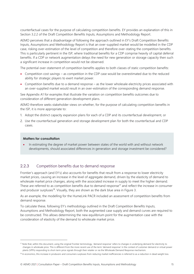counterfactual cases for the purpose of calculating competition benefits. EY provides an explanation of this in Section 3.2.2 of the Draft Competition Benefits Inputs, Assumptions and Methodology Report.

AEMO perceives that a disadvantage of following the approach outlined in EY's Draft Competition Benefits Inputs, Assumptions and Methodology Report is that an over-supplied market would be modelled in the CDP case, risking over-estimation of the level of competition and therefore over-stating the competition benefits. This is particularly pertinent in the ISP, where traditional benefits for a CDP comprise heavily of capital deferral benefits. If a CDP or network augmentation delays the need for new generation or storage capacity then such a significant increase in competition would not be observed.

The potential over-statement of competition benefits applies to both classes of static competition benefits:

- Competition cost savings as competition in the CDP case would be overestimated due to the reduced ability for strategic players to exert market power.
- Competition benefits due to a demand response as the lower wholesale electricity prices associated with an over-supplied market would result in an over-estimation of the corresponding demand response.

See Appendix A1 for examples that illustrate the variation on competition benefits outcomes due to consideration of different generation development plans.

AEMO therefore seeks stakeholder views on whether, for the purpose of calculating competition benefits in the ISP, it is more appropriate to:

- 1. Adopt the distinct capacity expansion plans for each of a CDP and its counterfactual development, or
- 2. Use the counterfactual generation and storage development plan for both the counterfactual and CDP cases.

#### **Matters for consultation**

• In estimating the degree of market power between states of the world with and without network developments, should associated differences in generation and storage investment be considered?

#### <span id="page-14-0"></span>2.2.3 Competition benefits due to demand response

Frontier's approach (and EY's) also accounts for benefits that result from a response to lower electricity market prices, causing an increase in the level of aggregate demand, driven by the elasticity of demand to wholesale market price changes, along with the associated increase in supply to meet the higher demand. These are referred to as competition benefits due to demand response<sup>17</sup> and reflect the increase in consumer and producer surpluses<sup>18</sup>. Visually, they are shown as the dark blue area in Figure 3.

As an example, the modelling for the HumeLink PACR included an assessment of competition benefits from demand response.

To calculate these, following EY's methodology outlined in the Draft Competition Benefits Inputs, Assumptions and Methodology Report, both the augmented case supply and demand curves are required to be constructed. This allows determining the new equilibrium point for the augmentation case with the consideration of elasticity of the demand to wholesale market price.

<sup>&</sup>lt;sup>17</sup> Note that, within this document, using the original Frontier terminology, 'demand response' refers to changes in underlying demand for electricity to changes in wholesale price. This is different from the more recent use of the term 'demand response' in the context of customer demand or virtual power plants (VPPs) responding to short-term price signals through their retailer or via the Wholesale Demand Response mechanism.

<sup>&</sup>lt;sup>18</sup> In economics, this increase in producers and consumers surpluses from reducing market inefficiencies is referred to as a reduction in dead weight loss.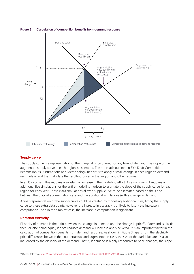

<span id="page-15-0"></span>**Figure 3 Calculation of competition benefits from demand response**

#### **Supply curve**

The supply curve is a representation of the marginal price offered for any level of demand. The slope of the augmented supply curve in each region is estimated. The approach outlined in EY's Draft Competition Benefits Inputs, Assumptions and Methodology Report is to apply a small change in each region's demand, re-simulate, and then calculate the resulting prices in that region and other regions.

In an ISP context, this requires a substantial increase in the modelling effort. As a minimum, it requires an additional five simulations for the entire modelling horizon to estimate the slope of the supply curve for each region for each year. These extra simulations allow a supply curve to be estimated based on the slope between the original augmentation case and the additional simulations (with a change in demand).

A finer representation of the supply curve could be created by modelling additional runs, fitting the supply curve to these extra data points, however the increase in accuracy is unlikely to justify the increase in computation. Even in the simplest case, the increase in computation is significant.

#### **Demand elasticity**

Elasticity of demand is the ratio between the change in demand and the change in price<sup>19</sup>. If demand is elastic then (all else being equal) if price reduces demand will increase and vice versa. It is an important factor in the calculation of competition benefits from demand response. As shown i[n Figure 3,](#page-15-0) apart from the electricity price differences between the counterfactual and augmentation case, the size of the dark blue area is also influenced by the elasticity of the demand. That is, if demand is highly responsive to price changes, the slope

<sup>19</sup> Oxford Reference[, https://www.oxfordreference.com/view/10.1093/oi/authority.20110803095745343,](https://www.oxfordreference.com/view/10.1093/oi/authority.20110803095745343) accessed 23 September 2021.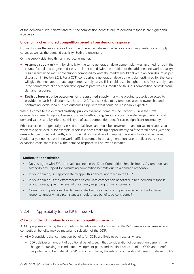of the demand curve is flatter and thus the competition benefits due to demand response are higher and vice versa.

#### **Uncertainty of estimated competition benefits from demand response**

Figure 3 shows the importance of both the difference between the base case and augmented case supply curves as well as the demand elasticity. Both are uncertain.

On the supply side, two things in particular matter:

- **Assumed supply mix** if, for simplicity, the same generation development plan was assumed for both the counterfactual and augmented case, the latter could (with the addition of the additional network capacity) result in sustained market oversupply compared to what the market would deliver in an equilibrium as per discussion in Section [2.2.2.](#page-13-0) For a CDP, considering a generation development plan optimised for that case will give the most appropriate augmented supply curve. This could result in higher prices (less supply than if the counterfactual generation development path was assumed) and thus less competition benefits from demand response.
- **Realistic forecast price outcomes for the assumed supply mix** the bidding strategies selected to provide the Nash Equilibrium (see Section [2.2.1\)](#page-11-1) are sensitive to assumptions around ownership and contracting levels. Ideally, price outcomes align with what could be reasonably expected.

When it comes to the demand elasticity, publicly available literature (see Section 3.2.4 in the Draft Competition Benefits Inputs, Assumptions and Methodology Report) reports a wide range of elasticity of demand values, and by inference this type of static competition benefit carries significant uncertainty.

Price elasticities are generally assessed at retail level, and must be converted to an equivalent response at wholesale price level. If, for example, wholesale prices make up approximately half the retail prices (with the remainder being network tariffs, environmental costs and retail margins), the elasticity should be halved. Additionally, if no increase in network tariffs is assumed in the augmentation case to reflect transmission expansion costs, there is a risk the demand response will be over-estimated.

#### **Matters for consultation**

- Do you agree with EY's approach outlined in the Draft Competition Benefits Inputs, Assumptions and Methodology Report for calculating competition benefits due to a demand response?
- In your opinion, is it appropriate to apply this general approach in the ISP?
- In your opinion, is the effort required to calculate competition benefits due to a demand response proportionate, given the level of uncertainty regarding future outcomes?
- Given the computational burden associated with calculating competition benefits due to demand response, under what circumstances should these benefits be considered?

#### 2.2.4 Applicability to the ISP framework

#### **Criteria for deciding when to consider competition benefits**

AEMO proposes applying the competition benefits methodology within the ISP framework in cases where competition benefits may be material to selection of the ODP:

- AEMO considers that competition benefits for CDPs are likely to be material where:
	- CDPs deliver an amount of traditional benefits such that consideration of competition benefits may change the ranking of candidate development paths and the final selection of an ODP, and therefore has potential to be material to ISP outcomes. That is, the relativity of traditional benefits between CDPs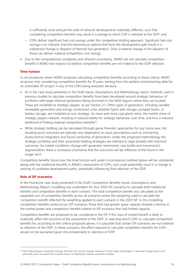is sufficiently close and yet the suite of network developments materially different, such that considering competition benefits may result in a change to which CDP is selected as the ODP; and

- CDPs deliver significant fuel cost savings under the competitive bidding approach. Significant fuel cost savings is an indicator that the transmission options that form the development path result in a substantial change in dispatch of thermal fuel generators. Only a material change in the dispatch of those can deliver material competition cost savings.
- Due to the computational complexity and inherent uncertainty, AEMO will not calculate competition benefits if AEMO has reason/s to believe competition benefits are not material to the ODP selection.

#### **Time horizon**

In circumstances where AEMO proposes calculating competition benefits according to these criteria, AEMO proposes only considering competition benefits for 10 years starting from the earliest commissioning date for an actionable ISP project in any of the CDPs being assessed, because:

- As in the case study presented in the Draft Inputs, Assumptions and Methodology report, methods used in previous studies to calculate competition benefits have been developed around strategic behaviour of portfolios with larger thermal generators being dominant in the NEM regions where they are located. These are modelled as strategic players, as per Section [3.1.](#page-19-1) Other types of generation, including variable renewable generation and energy constrained units, whether hydro with storage, pumped hydro, or battery storage, are modelled as non-strategic. As more and more coal plants retire, the market share of strategic players reduces, resulting in reduced ability for strategic behaviour over time, and thus a reduced likelihood of finding material competition benefits<sup>20</sup>.
- While strategic bidding can be calculated through game theoretic approaches for any future year, the resulting price outcomes are typically very dependent on input assumptions such as contracting levels/vertical integration and future ownership of generation. Under the proposed methodology the strategic portfolios and their associated bidding strategies are selected to align broadly with historical outcomes. As market conditions change with generator retirements, new builds and transmission augmentation, there is increased uncertainty that the outcomes will be reflective of the future in the longer term.

Competition benefits found over the time horizon and under circumstances outlined above will be considered along with the traditional benefits in AEMO's assessment of CDPs, and could potentially result in a change in ranking of candidate development paths, potentially influencing final selection of the ODP.

#### **Role of ISP scenarios**

In the HumeLink case study presented in the Draft Competition Benefits Inputs, Assumptions and Methodology Report, modelling was undertaken for four 2020 ISP scenarios to calculate both traditional benefits and competition benefits in each scenario. The total competition benefit was calculated as the weighted sum of competition benefits across all scenarios where the weighting used to calculate the competition benefit reflected the weighting applied to each scenario in the 2020 ISP. In this modelling, competition benefits varied across ISP scenarios: those that had greater spare capacity showed a decline in the market power and competition benefits relative to ISP scenarios that had limited capacity.

Competition benefits are proposed to be considered in the ISP if this class of market benefit is likely to materially affect the outcome of the assessment of the ODP. In selecting which CDPs to calculate competition benefits for, according to the criteria proposed above, it is plausible that certain ISP scenarios are not material to selection of the ODP. In these scenarios, the effort required to calculate competition benefits for CDPs would not be warranted given the immateriality to selection of ODP.

<sup>&</sup>lt;sup>20</sup> New methodologies, should they emerge, that take into account strategic behaviour of new supply technologies, in particular storage options and potentially wind, can extend the workable horizon of identifying material competition benefits.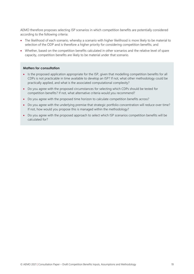AEMO therefore proposes selecting ISP scenarios in which competition benefits are potentially considered according to the following criteria:

- The likelihood of each scenario, whereby a scenario with higher likelihood is more likely to be material to selection of the ODP and is therefore a higher priority for considering competition benefits; and
- Whether, based on the competition benefits calculated in other scenarios and the relative level of spare capacity, competition benefits are likely to be material under that scenario.

#### **Matters for consultation**

- Is the proposed application appropriate for the ISP, given that modelling competition benefits for all CDPs is not practicable in time available to develop an ISP? If not, what other methodology could be practically applied, and what is the associated computational complexity?
- Do you agree with the proposed circumstances for selecting which CDPs should be tested for competition benefits? If not, what alternative criteria would you recommend?
- Do you agree with the proposed time horizon to calculate competition benefits across?
- Do you agree with the underlying premise that strategic portfolio concentration will reduce over time? If not, how would you propose this is managed within the methodology?
- Do you agree with the proposed approach to select which ISP scenarios competition benefits will be calculated for?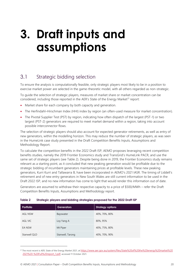## <span id="page-19-0"></span>**3. Draft inputs and assumptions**

### <span id="page-19-1"></span>3.1 Strategic bidding selection

To ensure the analysis is computationally feasible, only strategic players most likely to be in a position to exercise market power are selected in the game-theoretic model, with all others regarded as non-strategic.

To guide the selection of strategic players, measures of market share or market concentration can be considered, including those reported in the AER's State of the Energy Market<sup>21</sup> report:

- Market share for each company by both capacity and generation.
- The Herfindahl–Hirschman Index (HHI) index by region (an often-used measure for market concentration).
- The Pivotal Supplier Test (PST) by region, indicating how often dispatch of the largest (PST-1) or two largest (PST-2) generators are required to meet market demand within a region, taking into account possible interconnector flows.

The selection of strategic players should also account for expected generator retirements, as well as entry of new generators, within the modelling horizon. This may reduce the number of strategic players, as was seen in the HumeLink case study presented in the Draft Competition Benefits Inputs, Assumptions and Methodology Report.

To calculate the competition benefits in the 2022 Draft ISP, AEMO proposes leveraging recent competition benefits studies, namely the 2019 Frontier Economics study and TransGrid's HumeLink PACR, and use the same set of strategic players (see Table 2). Despite being done in 2019, the Frontier Economics study remains relevant as a starting point, as it concluded that new peaking generation would be profitable due to the strategic bidding of incumbent generators maintaining prices at profitable levels. These new peaking generators, Kurri Kurri and Tallawarra B, have been incorporated in AEMO's 2021 IASR. The timing of Liddell's retirement and of new entry generators in New South Wales are still current information to be used in the Draft 2022 ISP, and no new information has come to light that would render this information out of date.

Generators are assumed to withdraw their respective capacity to a price of \$500/MWh – refer the Draft Competition Benefits Inputs, Assumptions and Methodology report.

| <b>Portfolio</b> | <b>Generators</b> | <b>Strategy options</b> |
|------------------|-------------------|-------------------------|
| AGL NSW          | Bayswater         | 40%, 70%, 80%           |
| AGL VIC          | Loy Yang A        | 80%, 95%                |
| EA NSW           | Mt Piper          | 40%, 75%, 80%           |
| Stanwell QLD     | Stanwell, Tarong  | 40%, 70%, 90%           |

#### <span id="page-19-2"></span>**Table 2 Strategic players and bidding strategies proposed for the 2022 Draft ISP**

<sup>&</sup>lt;sup>21</sup> The most recent is AER, State of the Energy Market 2021, at [https://www.aer.gov.au/system/files/State%20of%20the%20energy%20market%20](https://www.aer.gov.au/system/files/State%20of%20the%20energy%20market%202021%20-%20Full%20report_1.pdf) [2021%20-%20Full%20report\\_1.pdf](https://www.aer.gov.au/system/files/State%20of%20the%20energy%20market%202021%20-%20Full%20report_1.pdf), accessed 11 October 2021.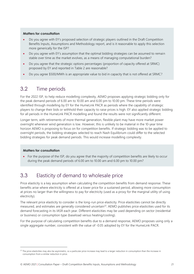#### **Matters for consultation**

- Do you agree with EY's proposed selection of strategic players outlined in the Draft Competition Benefits Inputs, Assumptions and Methodology report, and is it reasonable to apply this selection more generically for the ISP?
- Do you agree with EY's assumption that the optimal bidding strategies can be assumed to remain stable over time as the market evolves, as a means of managing computational burden?
- Do you agree that the strategic options percentages (proportion of capacity offered at SRMC) proposed by EY and reported in [Table 2](#page-19-2) are reasonable?
- Do you agree \$500/MWh is an appropriate value to bid in capacity that is not offered at SRMC?

### <span id="page-20-0"></span>3.2 Time periods

For the 2022 ISP, to help reduce modelling complexity, AEMO proposes applying strategic bidding only for the peak demand periods of 6.00 am to 10.00 am and 6.00 pm to 10.00 pm. These time periods were identified through modelling by EY for the HumeLink PACR as periods where the capability of strategic players to change their bids or withhold their capacity to raise prices is high. EY also applied strategic bidding for all periods in the HumeLink PACR modelling and found the results were not significantly different.

Longer term, with retirements of more thermal generation, flexible plant may have more market power overnight whenever wind generation is low. However, this is unlikely to be material in the 10-year time horizon AEMO is proposing to focus on for competition benefits. If strategic bidding was to be applied to overnight periods, the bidding strategies selected to reach Nash Equilibrium could differ to the selected bidding strategies for peak demand periods. This would increase modelling complexity.

#### **Matters for consultation**

• For the purpose of the ISP, do you agree that the majority of competition benefits are likely to occur during the peak demand periods of 6.00 am to 10.00 am and 6.00 pm to 10.00 pm?

### <span id="page-20-1"></span>3.3 Elasticity of demand to wholesale price

Price elasticity is a key assumption when calculating the competition benefits from demand response. These benefits arise where electricity is offered at a lower price for a sustained period, allowing more consumption at prices no larger than the willingness to pay for electricity (used as a proxy for the marginal utility of using electricity).

The relevant price elasticity to consider is the long-run price elasticity. Price elasticities cannot be directly measured, and estimates are generally considered uncertain<sup>22</sup>. AEMO publishes price elasticities used for its demand forecasting in its IASR each year. Different elasticities may be used depending on sector (residential or business) or consumption type (baseload versus heating/cooling).

For the purpose of calculating competition benefits due to a demand response, AEMO proposes using only a single aggregate number, consistent with the value of -0.05 adopted by EY for the HumeLink PACR.

<sup>&</sup>lt;sup>22</sup> The price elasticities may also be asymmetric, so a particular price increase may lead to a larger reduction in consumption than the increase in consumption from a similar reduction in price.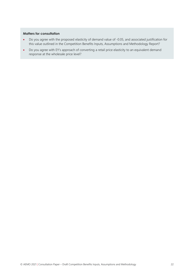#### **Matters for consultation**

- Do you agree with the proposed elasticity of demand value of -0.05, and associated justification for this value outlined in the Competition Benefits Inputs, Assumptions and Methodology Report?
- Do you agree with EY's approach of converting a retail price elasticity to an equivalent demand response at the wholesale price level?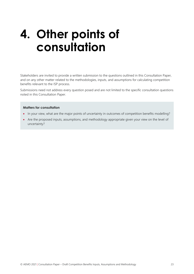## <span id="page-22-0"></span>**4. Other points of consultation**

Stakeholders are invited to provide a written submission to the questions outlined in this Consultation Paper, and on any other matter related to the methodologies, inputs, and assumptions for calculating competition benefits relevant to the ISP process.

Submissions need not address every question posed and are not limited to the specific consultation questions noted in this Consultation Paper.

#### **Matters for consultation**

- In your view, what are the major points of uncertainty in outcomes of competition benefits modelling?
- Are the proposed inputs, assumptions, and methodology appropriate given your view on the level of uncertainty?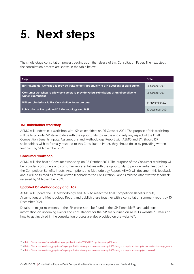## <span id="page-23-0"></span>**5. Next steps**

The single-stage consultation process begins upon the release of this Consultation Paper. The next steps in the consultation process are shown in the table below.

| Step                                                                                                           | Date             |
|----------------------------------------------------------------------------------------------------------------|------------------|
| ISP stakeholder workshop to provide stakeholders opportunity to ask questions of clarification                 | 26 October 2021  |
| Consumer workshop to allow consumers to provide verbal submissions as an alternative to<br>written submissions | 28 October 2021  |
| Written submissions to this Consultation Paper are due                                                         | 14 November 2021 |
| Publication of the updated ISP Methodology and IASR                                                            | 10 December 2021 |

#### **ISP stakeholder workshop**

AEMO will undertake a workshop with ISP stakeholders on 26 October 2021. The purpose of this workshop will be to provide ISP stakeholders with the opportunity to discuss and clarify any aspect of the Draft Competition Benefits Inputs, Assumptions and Methodology Report with AEMO and EY. Should ISP stakeholders wish to formally respond to this Consultation Paper, they should do so by providing written feedback by 14 November 2021.

#### **Consumer workshop**

AEMO will also host a Consumer workshop on 28 October 2021. The purpose of the Consumer workshop will be provided consumers and consumer representatives with the opportunity to provide verbal feedback on the Competition Benefits Inputs, Assumptions and Methodology Report. AEMO will document this feedback and it will be treated as formal written feedback to the Consultation Paper similar to other written feedback received by 14 November 2021.

#### **Updated ISP Methodology and IASR**

AEMO will update the ISP Methodology and IASR to reflect the final Competition Benefits Inputs, Assumptions and Methodology Report and publish these together with a consultation summary report by 10 December 2021.

Details on major milestones in the ISP process can be found in the ISP Timetable<sup>23</sup>, and additional information on upcoming events and consultations for the ISP are outlined on AEMO's website<sup>24</sup>. Details on how to get involved in the consultation process are also provided on the website<sup>25</sup>.

<sup>24</sup> A[t https://aemo.com.au/energy-systems/major-publications/integrated-system-plan-isp/2022-integrated-system-plan-isp/opportunities-for-engagement.](https://aemo.com.au/energy-systems/major-publications/integrated-system-plan-isp/2022-integrated-system-plan-isp/opportunities-for-engagement)

<sup>&</sup>lt;sup>23</sup> A[t https://aemo.com.au/-/media/files/major-publications/isp/2021/2022-isp-timetable.pdf?la=en.](https://aemo.com.au/-/media/files/major-publications/isp/2021/2022-isp-timetable.pdf?la=en)

<sup>25</sup> A[t https://aemo.com.au/energy-systems/major-publications/integrated-system-plan-isp/2022-integrated-system-plan-isp/get-involved.](https://aemo.com.au/energy-systems/major-publications/integrated-system-plan-isp/2022-integrated-system-plan-isp/get-involved)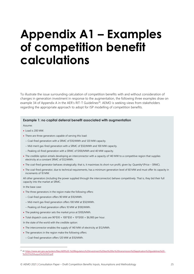## <span id="page-24-0"></span>**Appendix A1 – Examples of competition benefit calculations**

To illustrate the issue surrounding calculation of competition benefits with and without consideration of changes in generation investment in response to the augmentation, the following three examples draw on example 34 of Appendix A in the AER's RIT-T Guidelines<sup>26</sup>. AEMO is seeking views from stakeholders regarding the appropriate approach to adopt for ISP modelling of competition benefits.

#### **Example 1: no capital deferral benefit associated with augmentation**

Assume:

- Load is 200 MW.
- There are three generators capable of serving this load:
	- − Coal-fired generation with a SRMC of \$10/MWh and 120 MW capacity.
	- − Mid-merit gas-fired generation with a SRMC of \$50/MWh and 100 MW capacity.
	- − Peaking oil-fired generation with a SRMC of \$100/MWh and 40 MW capacity.
- The credible option entails developing an interconnector with a capacity of 140 MW to a competitive region that supplies electricity at a constant SRMC of \$12/MWh.
- The coal-fired generator behaves strategically; that is, it maximises its short-run profit, given by: Quantity\*(Price SRMC).
- The coal-fired generator, due to technical requirements, has a minimum generation level of 60 MW and must offer its capacity in increments of 10 MW.

All other generators (including the power supplied through the interconnector) behave competitively. That is, they bid their full capacity into the market at SRMC.

In the base case:

- The three generators in the region make the following offers:
	- − Coal-fired generation offers 90 MW at \$10/MWh.
	- − Mid-merit gas-fired generation offers 100 MW at \$50/MWh.
	- − Peaking oil-fired generation offers 10 MW at \$100/MWh.
- The peaking generator sets the market price at \$100/MWh.
- Total dispatch costs are  $90*10 + 100*150 + 10*100 = 16,900$  per hour.
- In the state of the world with the credible option:
- The interconnector enables the supply of 140 MW of electricity at \$12/MWh.
- The generators in the region make the following offers:
- − Coal-fired generation offers 120 MW at \$10/MWh.

<sup>&</sup>lt;sup>26</sup> A[t https://www.aer.gov.au/system/files/AER%20-%20Regulatory%20investment%20test%20for%20transmission%20application%20guidelines%20-](https://www.aer.gov.au/system/files/AER%20-%20Regulatory%20investment%20test%20for%20transmission%20application%20guidelines%20-%2025%20August%202020.pdf) [%2025%20August%202020.pdf](https://www.aer.gov.au/system/files/AER%20-%20Regulatory%20investment%20test%20for%20transmission%20application%20guidelines%20-%2025%20August%202020.pdf)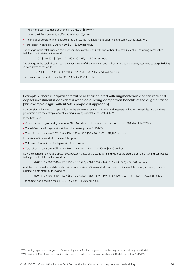- − Mid-merit gas-fired generation offers 100 MW at \$50/MWh.
- − Peaking oil-fired generation offers 40 MW at \$100/MWh.
- The marginal generator in the adjacent region sets the market price through the interconnector at \$12/MWh.
- Total dispatch costs are  $120*10 + 80*12 = 120*160$  per hour.

The change in the total dispatch cost between states of the world with and without the credible option, assuming competitive bidding in both states of the world, is:

 $(120 * $10 + 80 * $50) - (120 * $10 + 80 * $12) = $3,040$  per hour.

The change in the total dispatch cost between a state of the world with and without the credible option, assuming strategic bidding in both states of the world, is:

 $(90 * $10 + 100 * $50 + 10 * $100) - (120 * $10 + 80 * $12) = $4,740$  per hour.

The competition benefit is thus:  $$4,740 - $3,040 = $1,700$  per hour.

#### **Example 2: there is capital deferral benefit associated with augmentation and this reduced capital investment is considered when calculating competition benefits of the augmentation (this example aligns with AEMO's proposed approach)**

Now consider what would happen if load in the above example was 350 MW and a generator has just retired (leaving the three generators from the example above), causing a supply shortfall of at least 90 MW.

In the base case:

- A new mid-merit gas-fired generator of 100 MW is built to help meet the load and it offers 100 MW at \$40/MWh.
- The oil-fired peaking generator still sets the market price at \$100/MWh.
- Total dispatch costs are  $120^{27}$  \*  $$10 + 100$  \*  $$40 + 100$  \*  $$50 + 30$  \*  $$100 = $13,200$  per hour.

In the state of the world with the credible option:

- This new mid-merit gas-fired generator is not needed.
- Total dispatch costs are  $100^{28}$  \*  $$10 + 140$  \*  $$12 + 100$  \*  $$50 + 10$  \*  $$100 = $8,680$  per hour.

Now the change in the total dispatch cost between states of the world with and without the credible option, assuming competitive bidding in both states of the world, is:

 $(120 * $10 + 100 * $40 + 100 * $50 + 30 * $100) - (120 * $10 + 140 * $12 + 90 * $50) = $5,820$  per hour.

And the change in the total dispatch cost between a state of the world with and without the credible option, assuming strategic bidding in both states of the world is:

 $(120 * $10 + 100 * $40 + 100 * $50 + 30 * $100) - (100 * $10 + 140 * $12 + 100 * $50 + 10 * $100) = $4,520$  per hour.

The competition benefit is thus:  $$4,520 - $5,820 = - $1,300$  per hour.

<sup>&</sup>lt;sup>27</sup> Withholding capacity is no longer a profit maximising option for this coal generator, as the marginal price is already at \$100/MWh.

<sup>&</sup>lt;sup>28</sup> Withholding 20 MW of capacity is profit maximising, as it results in the marginal price being \$100/MWh rather than \$50/MWh.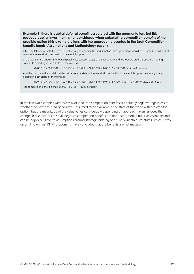#### **Example 3: there is capital deferral benefit associated with the augmentation, but this reduced capital investment is not considered when calculating competition benefits of the credible option (this example aligns with the approach presented in the Draft Competition Benefits Inputs, Assumptions and Methodology report)**

If the capital deferral with the credible option is ignored, then the additional gas-fired generation would be assumed to exist in both states of the world with and without the credible option.

In that case, the change in the total dispatch cost between states of the world with and without the credible option, assuming competitive bidding in both states of the world is:

 $(120 * $10 + 100 * $40 + 100 * $50 + 30 * $100) - (120 * $10 + 140 * $12 + 90 * $40) = $6,720$  per hour.

And the change in the total dispatch cost between a state of the world with and without the credible option, assuming strategic bidding in both states of the world is:

 $(120 * $10 + 100 * $40 + 100 * $50 + 30 * $100) - (100 * $10 + 140 * $12 + 100 * $40 + 10 * $50) = $6,020$  per hour.

The competition benefit is thus:  $$6,020 - $6,720 = - $700$  per hour.

In the last two examples with 350 MW of load, the competition benefits are actually negative regardless of whether the new gas-fired generator is assumed to be available in the state of the world with the credible option, but the magnitude of the value varies considerably depending on approach taken, as does the change in dispatch price. Small negative competition benefits are not uncommon in RIT-T assessments and can be highly sensitive to assumptions around strategic bidding or future ownership structures, which is why, up until now, most RIT-T proponents have concluded that the benefits are not material.